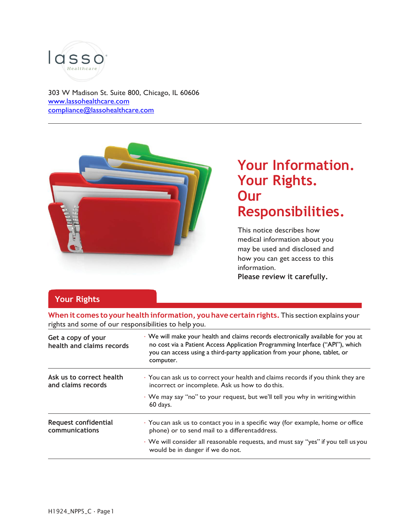

303 W Madison St. Suite 800, Chicago, IL 60606 [www.lassohealthcare.com](http://www.lassohealthcare.com/) [compliance@lassohealthcare.com](mailto:compliance@lassohealthcare.com)



# **Your Information. Your Rights. Our Responsibilities.**

This notice describes how medical information about you may be used and disclosed and how you can get access to this information. **Please review it carefully.**

## **Your Rights**

**When it comes to yourhealth information, you have certain rights.**This section explains your rights and some of our responsibilities to help you.

| Get a copy of your<br>health and claims records | · We will make your health and claims records electronically available for you at<br>no cost via a Patient Access Application Programming Interface ("API"), which<br>you can access using a third-party application from your phone, tablet, or<br>computer. |  |
|-------------------------------------------------|---------------------------------------------------------------------------------------------------------------------------------------------------------------------------------------------------------------------------------------------------------------|--|
| Ask us to correct health<br>and claims records  | · You can ask us to correct your health and claims records if you think they are<br>incorrect or incomplete. Ask us how to do this.                                                                                                                           |  |
|                                                 | • We may say "no" to your request, but we'll tell you why in writing within<br>60 days.                                                                                                                                                                       |  |
| Request confidential<br>communications          | · You can ask us to contact you in a specific way (for example, home or office<br>phone) or to send mail to a differentaddress.                                                                                                                               |  |
|                                                 | · We will consider all reasonable requests, and must say "yes" if you tell us you<br>would be in danger if we do not.                                                                                                                                         |  |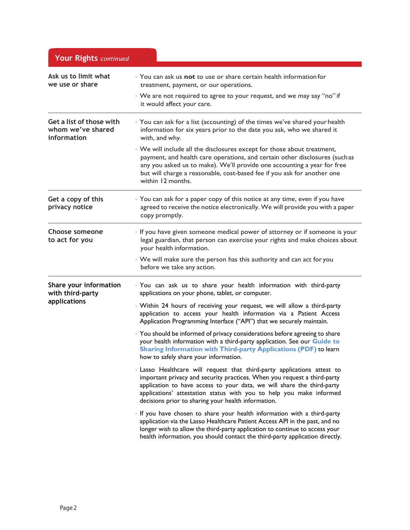| Your Rights continued                                        |                                                                                                                                                                                                                                                                                                                                                             |
|--------------------------------------------------------------|-------------------------------------------------------------------------------------------------------------------------------------------------------------------------------------------------------------------------------------------------------------------------------------------------------------------------------------------------------------|
| Ask us to limit what<br>we use or share                      | You can ask us not to use or share certain health information for<br>treatment, payment, or our operations.                                                                                                                                                                                                                                                 |
|                                                              | · We are not required to agree to your request, and we may say "no" if<br>it would affect your care.                                                                                                                                                                                                                                                        |
| Get a list of those with<br>whom we've shared<br>information | · You can ask for a list (accounting) of the times we've shared your health<br>information for six years prior to the date you ask, who we shared it<br>with, and why.                                                                                                                                                                                      |
|                                                              | · We will include all the disclosures except for those about treatment,<br>payment, and health care operations, and certain other disclosures (such as<br>any you asked us to make). We'll provide one accounting a year for free<br>but will charge a reasonable, cost-based fee if you ask for another one<br>within 12 months.                           |
| Get a copy of this<br>privacy notice                         | You can ask for a paper copy of this notice at any time, even if you have<br>agreed to receive the notice electronically. We will provide you with a paper<br>copy promptly.                                                                                                                                                                                |
| <b>Choose someone</b><br>to act for you                      | · If you have given someone medical power of attorney or if someone is your<br>legal guardian, that person can exercise your rights and make choices about<br>your health information.                                                                                                                                                                      |
|                                                              | · We will make sure the person has this authority and can act for you<br>before we take any action.                                                                                                                                                                                                                                                         |
| Share your information<br>with third-party                   | · You can ask us to share your health information with third-party<br>applications on your phone, tablet, or computer.                                                                                                                                                                                                                                      |
| applications                                                 | · Within 24 hours of receiving your request, we will allow a third-party<br>application to access your health information via a Patient Access<br>Application Programming Interface ("API") that we securely maintain.                                                                                                                                      |
|                                                              | · You should be informed of privacy considerations before agreeing to share<br>your health information with a third-party application. See our Guide to<br>Sharing Information with Third-party Applications (PDF) to learn<br>how to safely share your information.                                                                                        |
|                                                              | · Lasso Healthcare will request that third-party applications attest to<br>important privacy and security practices. When you request a third-party<br>application to have access to your data, we will share the third-party<br>applications' attestation status with you to help you make informed<br>decisions prior to sharing your health information. |
|                                                              | · If you have chosen to share your health information with a third-party<br>application via the Lasso Healthcare Patient Access API in the past, and no<br>longer wish to allow the third-party application to continue to access your<br>health information, you should contact the third-party application directly.                                      |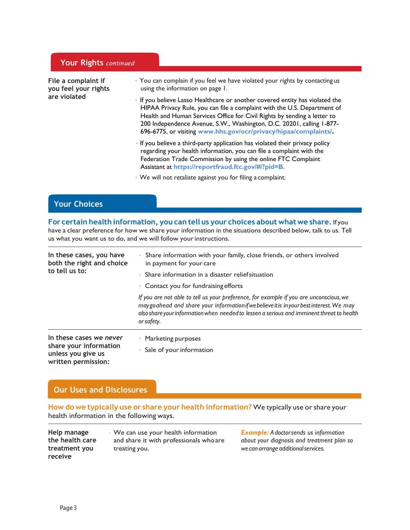|                                                             | <b>Your Rights</b> continued |                                                                                                                                                                                                                                                                                                                                                                                 |
|-------------------------------------------------------------|------------------------------|---------------------------------------------------------------------------------------------------------------------------------------------------------------------------------------------------------------------------------------------------------------------------------------------------------------------------------------------------------------------------------|
| File a complaint if<br>you feel your rights<br>are violated |                              | • You can complain if you feel we have violated your rights by contacting us<br>using the information on page 1.                                                                                                                                                                                                                                                                |
|                                                             |                              | If you believe Lasso Healthcare or another covered entity has violated the<br>HIPAA Privacy Rule, you can file a complaint with the U.S. Department of<br>Health and Human Services Office for Civil Rights by sending a letter to<br>200 Independence Avenue, S.W., Washington, D.C. 20201, calling 1-877-<br>696-6775, or visiting www.hhs.gov/ocr/privacy/hipaa/complaints/. |
|                                                             |                              | · If you believe a third-party application has violated their privacy policy<br>regarding your health information, you can file a complaint with the<br>Federation Trade Commission by using the online FTC Complaint<br>Assistant at https://reportfraud.ftc.gov/#/?pid=B.                                                                                                     |
|                                                             |                              | · We will not retaliate against you for filing a complaint.                                                                                                                                                                                                                                                                                                                     |

## **Your Choices**

### **For certain health information, you can tell us your choices about what we share.**If you

have a clear preference for how we share your information in the situations described below, talk to us. Tell us what you want us to do, and we will follow yourinstructions.

| In these cases, you have<br>both the right and choice<br>to tell us to:                        | · Share information with your family, close friends, or others involved<br>in payment for your care<br>$\cdot$ Share information in a disaster relief situation                                                                                                                                |  |
|------------------------------------------------------------------------------------------------|------------------------------------------------------------------------------------------------------------------------------------------------------------------------------------------------------------------------------------------------------------------------------------------------|--|
|                                                                                                | $\cdot$ Contact you for fundraising efforts                                                                                                                                                                                                                                                    |  |
|                                                                                                | If you are not able to tell us your preference, for example if you are unconscious, we<br>may go ahead and share your information if we believe it is in your best interest. We may<br>also share your information when needed to lessen a serious and imminent threat to health<br>or safety. |  |
| In these cases we never<br>share your information<br>unless you give us<br>written permission: | $\cdot$ Marketing purposes<br>$\cdot$ Sale of your information                                                                                                                                                                                                                                 |  |

## **Our Uses and Disclosures**

**How do we typically use or share your health information?** We typically use orshare your health information in the following ways.

| Help manage     | $\cdot$ We can use your health information | <b>Example:</b> A docto |
|-----------------|--------------------------------------------|-------------------------|
| the health care | and share it with professionals who are    | about your diagno.      |
| treatment vou   | treating you.                              | we can arrange add      |
| receive         |                                            |                         |

*Example: Adoctorsends us information about your diagnosis and treatment plan so*  $divional$  *services.*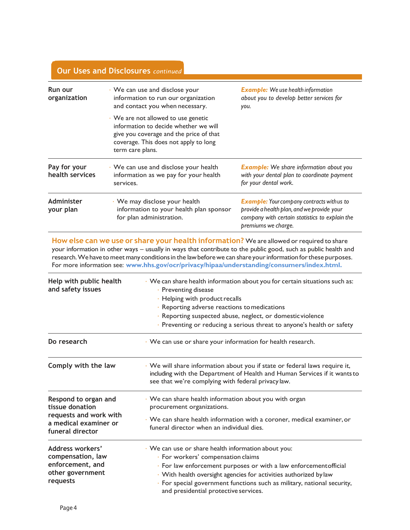| Run our<br>organization                                                                                                        | · We can use and disclose your<br>information to run our organization<br>and contact you when necessary.                                                                                                                                                                                                                                                                                                                    | <b>Example:</b> We use health information<br>about you to develop better services for<br>you.                                                                                                               |  |  |
|--------------------------------------------------------------------------------------------------------------------------------|-----------------------------------------------------------------------------------------------------------------------------------------------------------------------------------------------------------------------------------------------------------------------------------------------------------------------------------------------------------------------------------------------------------------------------|-------------------------------------------------------------------------------------------------------------------------------------------------------------------------------------------------------------|--|--|
|                                                                                                                                | · We are not allowed to use genetic<br>information to decide whether we will<br>give you coverage and the price of that<br>coverage. This does not apply to long<br>term care plans.                                                                                                                                                                                                                                        |                                                                                                                                                                                                             |  |  |
| Pay for your<br>· We can use and disclose your health<br>health services<br>information as we pay for your health<br>services. |                                                                                                                                                                                                                                                                                                                                                                                                                             | <b>Example:</b> We share information about you<br>with your dental plan to coordinate payment<br>for your dental work.                                                                                      |  |  |
| Administer<br>your plan                                                                                                        | · We may disclose your health<br>information to your health plan sponsor<br>for plan administration.                                                                                                                                                                                                                                                                                                                        | <b>Example:</b> Your company contracts with us to<br>provide a health plan, and we provide your<br>company with certain statistics to explain the<br>premiums we charge.                                    |  |  |
|                                                                                                                                | How else can we use or share your health information? We are allowed or required to share<br>your information in other ways - usually in ways that contribute to the public good, such as public health and<br>research. We have to meet many conditions in the law before we can share your information for these purposes.<br>For more information see: www.hhs.gov/ocr/privacy/hipaa/understanding/consumers/index.html. |                                                                                                                                                                                                             |  |  |
| Help with public health<br>and safety issues                                                                                   | · Preventing disease                                                                                                                                                                                                                                                                                                                                                                                                        | · We can share health information about you for certain situations such as:                                                                                                                                 |  |  |
|                                                                                                                                |                                                                                                                                                                                                                                                                                                                                                                                                                             | · Helping with product recalls<br>· Reporting adverse reactions to medications                                                                                                                              |  |  |
|                                                                                                                                |                                                                                                                                                                                                                                                                                                                                                                                                                             | · Reporting suspected abuse, neglect, or domestic violence                                                                                                                                                  |  |  |
|                                                                                                                                |                                                                                                                                                                                                                                                                                                                                                                                                                             | · Preventing or reducing a serious threat to anyone's health or safety                                                                                                                                      |  |  |
| Do research                                                                                                                    | · We can use or share your information for health research.                                                                                                                                                                                                                                                                                                                                                                 |                                                                                                                                                                                                             |  |  |
| Comply with the law                                                                                                            |                                                                                                                                                                                                                                                                                                                                                                                                                             | We will share information about you if state or federal laws require it,<br>including with the Department of Health and Human Services if it wants to<br>see that we're complying with federal privacy law. |  |  |
| Respond to organ and<br>tissue donation                                                                                        | procurement organizations.                                                                                                                                                                                                                                                                                                                                                                                                  | · We can share health information about you with organ                                                                                                                                                      |  |  |
| requests and work with<br>a medical examiner or<br>funeral director                                                            |                                                                                                                                                                                                                                                                                                                                                                                                                             | · We can share health information with a coroner, medical examiner, or<br>funeral director when an individual dies.                                                                                         |  |  |
| Address workers'<br>compensation, law                                                                                          |                                                                                                                                                                                                                                                                                                                                                                                                                             | · We can use or share health information about you:<br>· For workers' compensation claims                                                                                                                   |  |  |

**enforcement, and other government**  • For workers' compensation claims • For law enforcement purposes or with a law enforcementofficial • With health oversight agencies for activities authorized by law

**requests**